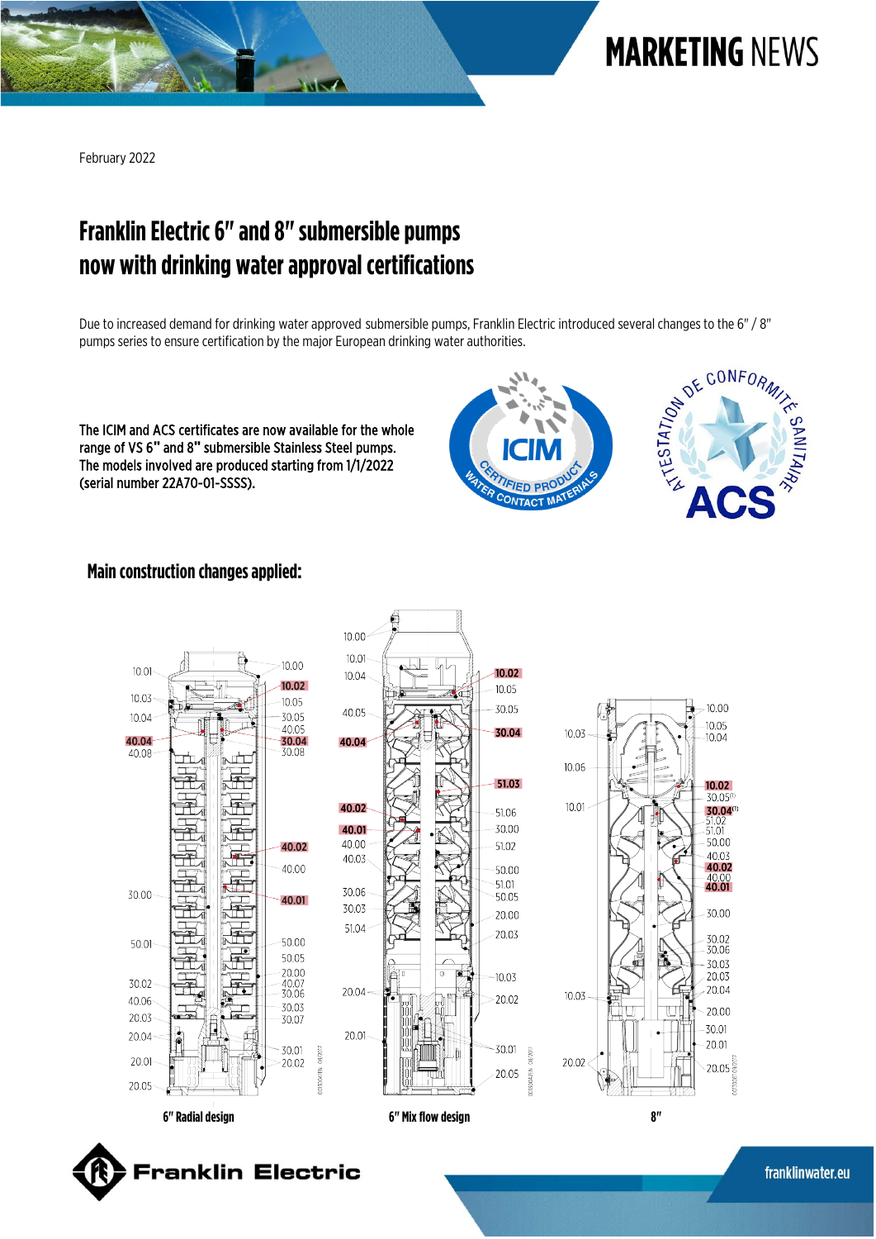

February 2022

## **Franklin Electric 6" and 8"submersible pumps now with drinking waterapproval certifications**

**TVISS** 

Due to increased demand for drinking water approved submersible pumps, Franklin Electric introduced several changes to the 6" / 8" pumps series to ensure certification by the major European drinking water authorities.

The ICIM and ACS certificates are now available for the whole range of VS 6**"** and 8**"** submersible Stainless Steel pumps. The models involved are produced starting from 1/1/2022 (serial number 22A70-01-SSSS).





10.00

 $10.05$ 

 $10.04$ 

 $10.02$ 30.05

30.04(1)

 $51.01$ 

50.00

40.03

40.02

 $^{40.00}_{40.01}$ 

30.00

30.02<br>30.06

30.03

20.03

20.04

20.00

30.01

20.01

 $-20.05\frac{55}{32}$ 

## **Main construction changes applied:**